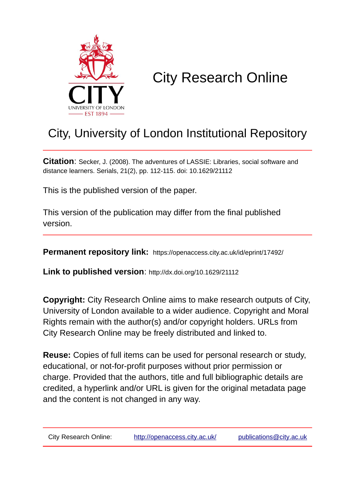

# City Research Online

# City, University of London Institutional Repository

**Citation**: Secker, J. (2008). The adventures of LASSIE: Libraries, social software and distance learners. Serials, 21(2), pp. 112-115. doi: 10.1629/21112

This is the published version of the paper.

This version of the publication may differ from the final published version.

**Permanent repository link:** https://openaccess.city.ac.uk/id/eprint/17492/

**Link to published version**: http://dx.doi.org/10.1629/21112

**Copyright:** City Research Online aims to make research outputs of City, University of London available to a wider audience. Copyright and Moral Rights remain with the author(s) and/or copyright holders. URLs from City Research Online may be freely distributed and linked to.

**Reuse:** Copies of full items can be used for personal research or study, educational, or not-for-profit purposes without prior permission or charge. Provided that the authors, title and full bibliographic details are credited, a hyperlink and/or URL is given for the original metadata page and the content is not changed in any way.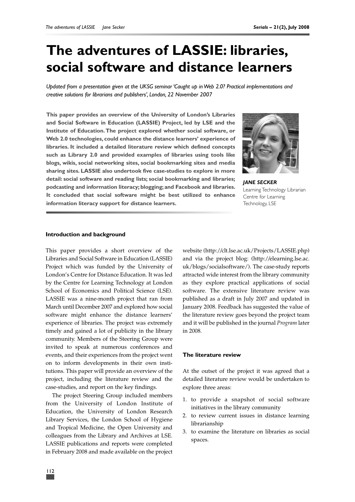# **The adventures of LASSIE: libraries, social software and distance learners**

*Updated from a presentation given at the UKSG seminar 'Caught up in Web 2.0? Practical implementations and creative solutions for librarians and publishers', London, 22 November 2007*

**This paper provides an overview of the University of London's Libraries and Social Software in Education (LASSIE) Project, led by LSE and the Institute of Education.The project explored whether social software, or Web 2.0 technologies, could enhance the distance learners' experience of libraries. It included a detailed literature review which defined concepts such as Library 2.0 and provided examples of libraries using tools like blogs, wikis, social networking sites, social bookmarking sites and media sharing sites. LASSIE also undertook five case-studies to explore in more detail: social software and reading lists; social bookmarking and libraries; podcasting and information literacy; blogging; and Facebook and libraries. It concluded that social software might be best utilized to enhance information literacy support for distance learners.**



*JANE SECKER* Learning Technology Librarian Centre for Learning Technology, LSE

### **Introduction and background**

This paper provides a short overview of the Libraries and Social Software in Education (LASSIE) Project which was funded by the University of London's Centre for Distance Education. It was led by the Centre for Learning Technology at London School of Economics and Political Science (LSE). LASSIE was a nine-month project that ran from March until December 2007 and explored how social software might enhance the distance learners' experience of libraries. The project was extremely timely and gained a lot of publicity in the library community. Members of the Steering Group were invited to speak at numerous conferences and events, and their experiences from the project went on to inform developments in their own institutions. This paper will provide an overview of the project, including the literature review and the case-studies, and report on the key findings.

The project Steering Group included members from the University of London Institute of Education, the University of London Research Library Services, the London School of Hygiene and Tropical Medicine, the Open University and colleagues from the Library and Archives at LSE. LASSIE publications and reports were completed in February 2008 and made available on the project

website (http://clt.lse.ac.uk/Projects/LASSIE.php) and via the project blog: (http://elearning.lse.ac. uk/blogs/socialsoftware/). The case-study reports attracted wide interest from the library community as they explore practical applications of social software. The extensive literature review was published as a draft in July 2007 and updated in January 2008. Feedback has suggested the value of the literature review goes beyond the project team and it will be published in the journal *Program* later in 2008.

# **The literature review**

At the outset of the project it was agreed that a detailed literature review would be undertaken to explore three areas:

- 1. to provide a snapshot of social software initiatives in the library community
- 2. to review current issues in distance learning librarianship
- 3. to examine the literature on libraries as social spaces.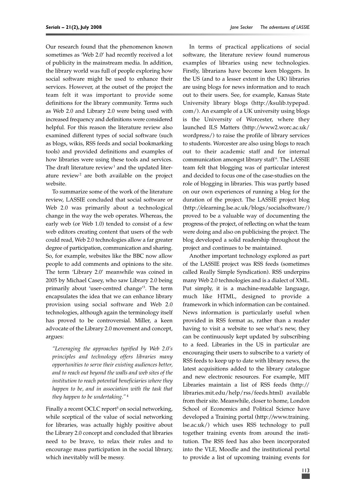Our research found that the phenomenon known sometimes as 'Web 2.0' had recently received a lot of publicity in the mainstream media. In addition, the library world was full of people exploring how social software might be used to enhance their services. However, at the outset of the project the team felt it was important to provide some definitions for the library community. Terms such as Web 2.0 and Library 2.0 were being used with increased frequency and definitions were considered helpful. For this reason the literature review also examined different types of social software (such as blogs, wikis, RSS feeds and social bookmarking tools) and provided definitions and examples of how libraries were using these tools and services. The draft literature review<sup>1</sup> and the updated literature review<sup>2</sup> are both available on the project website.

To summarize some of the work of the literature review, LASSIE concluded that social software or Web 2.0 was primarily about a technological change in the way the web operates. Whereas, the early web (or Web 1.0) tended to consist of a few web editors creating content that users of the web could read, Web 2.0 technologies allow a far greater degree of participation, communication and sharing. So, for example, websites like the BBC now allow people to add comments and opinions to the site. The term 'Library 2.0' meanwhile was coined in 2005 by Michael Casey, who saw Library 2.0 being primarily about 'user-centred change'3 . The term encapsulates the idea that we can enhance library provision using social software and Web 2.0 technologies, although again the terminology itself has proved to be controversial. Miller, a keen advocate of the Library 2.0 movement and concept, argues:

*"Leveraging the approaches typified by Web 2.0's principles and technology offers libraries many opportunities to serve their existing audiences better, and to reach out beyond the walls and web sites of the institution to reach potential beneficiaries where they happen to be, and in association with the task that they happen to be undertaking."*<sup>4</sup>

Finally a recent OCLC report<sup>5</sup> on social networking, while sceptical of the value of social networking for libraries, was actually highly positive about the Library 2.0 concept and concluded that libraries need to be brave, to relax their rules and to encourage mass participation in the social library, which inevitably will be messy.

In terms of practical applications of social software, the literature review found numerous examples of libraries using new technologies. Firstly, librarians have become keen bloggers. In the US (and to a lesser extent in the UK) libraries are using blogs for news information and to reach out to their users. See, for example, Kansas State University library blogs (http://ksulib.typepad. com/). An example of a UK university using blogs is the University of Worcester, where they launched ILS Matters (http://www2.worc.ac.uk/ wordpress/) to raise the profile of library services to students. Worcester are also using blogs to reach out to their academic staff and for internal communication amongst library staff <sup>6</sup> . The LASSIE team felt that blogging was of particular interest and decided to focus one of the case-studies on the role of blogging in libraries. This was partly based on our own experiences of running a blog for the duration of the project. The LASSIE project blog (http://elearning.lse.ac.uk/blogs/socialsoftware/) proved to be a valuable way of documenting the progress of the project, of reflecting on what the team were doing and also on publicising the project. The blog developed a solid readership throughout the project and continues to be maintained.

Another important technology explored as part of the LASSIE project was RSS feeds (sometimes called Really Simple Syndication). RSS underpins many Web 2.0 technologies and is a dialect of XML. Put simply, it is a machine-readable language, much like HTML, designed to provide a framework in which information can be contained. News information is particularly useful when provided in RSS format as, rather than a reader having to visit a website to see what's new, they can be continuously kept updated by subscribing to a feed. Libraries in the US in particular are encouraging their users to subscribe to a variety of RSS feeds to keep up to date with library news, the latest acquisitions added to the library catalogue and new electronic resources. For example, MIT Libraries maintain a list of RSS feeds (http:// libraries.mit.edu/help/rss/feeds.html) available from their site. Meanwhile, closer to home, London School of Economics and Political Science have developed a Training portal (http://www.training. lse.ac.uk/) which uses RSS technology to pull together training events from around the institution. The RSS feed has also been incorporated into the VLE, Moodle and the institutional portal to provide a list of upcoming training events for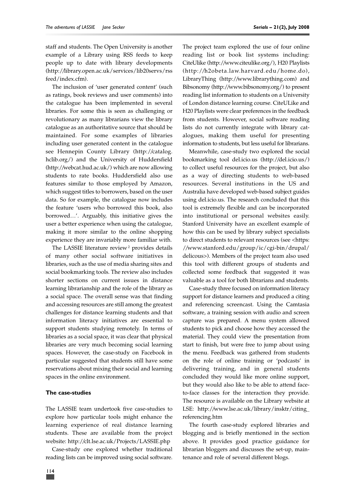staff and students. The Open University is another example of a Library using RSS feeds to keep people up to date with library developments (http://library.open.ac.uk/services/lib20servs/rss feed/index.cfm).

The inclusion of 'user generated content' (such as ratings, book reviews and user comments) into the catalogue has been implemented in several libraries. For some this is seen as challenging or revolutionary as many librarians view the library catalogue as an authoritative source that should be maintained. For some examples of libraries including user generated content in the catalogue see Hennepin County Library (http://catalog. hclib.org/) and the University of Huddersfield (http://webcat.hud.ac.uk/) which are now allowing students to rate books. Huddersfield also use features similar to those employed by Amazon, which suggest titles to borrowers, based on the user data. So for example, the catalogue now includes the feature 'users who borrowed this book, also borrowed…'. Arguably, this initiative gives the user a better experience when using the catalogue, making it more similar to the online shopping experience they are invariably more familiar with.

The LASSIE literature review <sup>2</sup> provides details of many other social software initiatives in libraries, such as the use of media sharing sites and social bookmarking tools. The review also includes shorter sections on current issues in distance learning librarianship and the role of the library as a social space. The overall sense was that finding and accessing resources are still among the greatest challenges for distance learning students and that information literacy initiatives are essential to support students studying remotely. In terms of libraries as a social space, it was clear that physical libraries are very much becoming social learning spaces. However, the case-study on Facebook in particular suggested that students still have some reservations about mixing their social and learning spaces in the online environment.

### **The case-studies**

The LASSIE team undertook five case-studies to explore how particular tools might enhance the learning experience of real distance learning students. These are available from the project website: http://clt.lse.ac.uk/Projects/LASSIE.php

Case-study one explored whether traditional reading lists can be improved using social software.

The project team explored the use of four online reading list or book list systems including: CiteUlike (http://www.citeulike.org/), H20 Playlists (http://h2obeta.law.harvard.edu/home.do), LibraryThing (http://www.librarything.com) and Bibsonomy (http://www.bibsonomy.org/) to present reading list information to students on a University of London distance learning course. CiteULike and H20 Playlists were clear preferences in the feedback from students. However, social software reading lists do not currently integrate with library catalogues, making them useful for presenting information to students, but less useful for librarians.

Meanwhile, case-study two explored the social bookmarking tool del.icio.us (http://del.icio.us/) to collect useful resources for the project, but also as a way of directing students to web-based resources. Several institutions in the US and Australia have developed web-based subject guides using del.icio.us. The research concluded that this tool is extremely flexible and can be incorporated into institutional or personal websites easily. Stanford University have an excellent example of how this can be used by library subject specialists to direct students to relevant resources (see <https: //www.stanford.edu/group/ic/cgi-bin/drupal/ delicous>). Members of the project team also used this tool with different groups of students and collected some feedback that suggested it was valuable as a tool for both librarians and students.

Case-study three focused on information literacy support for distance learners and produced a citing and referencing screencast. Using the Camtasia software, a training session with audio and screen capture was prepared. A menu system allowed students to pick and choose how they accessed the material. They could view the presentation from start to finish, but were free to jump about using the menu. Feedback was gathered from students on the role of online training or 'podcasts' in delivering training, and in general students concluded they would like more online support, but they would also like to be able to attend faceto-face classes for the interaction they provide. The resource is available on the Library website at LSE: http://www.lse.ac.uk/library/insktr/citing\_ referencing.htm

The fourth case-study explored libraries and blogging and is briefly mentioned in the section above. It provides good practice guidance for librarian bloggers and discusses the set-up, maintenance and role of several different blogs.